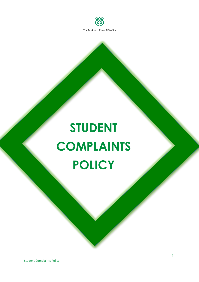

# **STUDENT COMPLAINTS POLICY**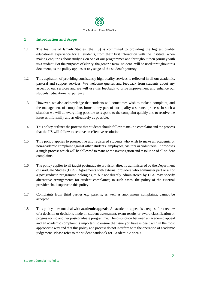

#### **1 Introduction and Scope**

- 1.1 The Institute of Ismaili Studies (the IIS) is committed to providing the highest quality educational experience for all students, from their first interaction with the Institute, when making enquiries about studying on one of our programmes and throughout their journey with us a student. For the purposes of clarity, the generic term "student" will be used throughout this document, as the policy applies at any stage of the student's journey.
- 1.2 This aspiration of providing consistently high quality services is reflected in all our academic, pastoral and support services. We welcome queries and feedback from students about any aspect of our services and we will use this feedback to drive improvement and enhance our students' educational experience.
- 1.3 However, we also acknowledge that students will sometimes wish to make a complaint, and the management of complaints forms a key part of our quality assurance process. In such a situation we will do everything possible to respond to the complaint quickly and to resolve the issue as informally and as effectively as possible.
- 1.4 This policy outlines the process that students should follow to make a complaint and the process that the IIS will follow to achieve an effective resolution.
- 1.5 This policy applies to prospective and registered students who wish to make an academic or non-academic complaint against other students, employees, visitors or volunteers. It proposes a single process which will be followed to manage the investigation and resolution of all student complaints.
- 1.6 The policy applies to all taught postgraduate provision directly administered by the Department of Graduate Studies (DGS). Agreements with external providers who administer part or all of a postgraduate programme belonging to but not directly administered by DGS may specify alternative arrangements for student complaints; in such cases, the policy of the external provider shall supersede this policy.
- 1.7 Complaints from third parties e.g. parents, as well as anonymous complaints, cannot be accepted.
- 1.8 This policy does not deal with **academic appeals**. An academic appeal is a request for a review of a decision or decisions made on student assessment, exam results or award classification or progression to another post-graduate programme. The distinction between an academic appeal and an academic complaint is important to ensure the issue you have is dealt with in the most appropriate way and that this policy and process do not interfere with the operation of academic judgement. Please refer to the student handbook for Academic Appeals.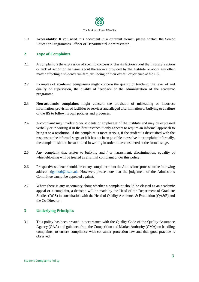

1.9 **Accessibility:** If you need this document in a different format, please contact the Senior Education Programmes Officer or Departmental Administrator.

#### **2 Type of Complaints**

- 2.1 A complaint is the expression of specific concern or dissatisfaction about the Institute's action or lack of action on an issue, about the service provided by the Institute or about any other matter affecting a student's welfare, wellbeing or their overall experience at the IIS.
- 2.2 Examples of **academic complaints** might concern the quality of teaching, the level of and quality of supervision, the quality of feedback or the administration of the academic programme.
- 2.3 **Non-academic complaints** might concern the provision of misleading or incorrect information, provision of facilities or services and alleged discrimination or bullying or a failure of the IIS to follow its own policies and processes.
- 2.4 A complaint may involve other students or employees of the Institute and may be expressed verbally or in writing if in the first instance it only appears to require an informal approach to bring it to a resolution. If the complaint is more serious, if the student is dissatisfied with the response at the informal stage, or if it has not been possible to resolve the complaint informally, the complaint should be submitted in writing in order to be considered at the formal stage.
- 2.5 Any complaint that relates to bullying and / or harassment, discrimination, equality of whistleblowing will be treated as a formal complaint under this policy.
- 2.6 Prospective students should direct any complaint about the Admissions process to the following address: [dgs-hod@iis.ac.uk.](mailto:dgs-hod@iis.ac.uk) However, please note that the judgement of the Admissions Committee cannot be appealed against.
- 2.7 Where there is any uncertainty about whether a complaint should be classed as an academic appeal or a complaint, a decision will be made by the Head of the Department of Graduate Studies (DGS) in consultation with the Head of Quality Assurance & Evaluation (QA&E) and the Co-Director.

#### **3 Underlying Principles**

3.1 This policy has been created in accordance with the Quality Code of the Quality Assurance Agency (QAA) and guidance from the Competition and Market Authority (CMA) on handling complaints, to ensure compliance with consumer protection law and that good practice is observed.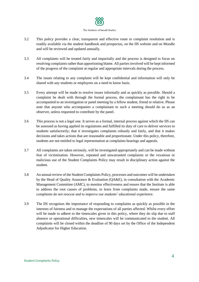- 3.2 This policy provides a clear, transparent and effective route to complaint resolution and is readily available via the student handbook and prospectus, on the IIS website and on Moodle and will be reviewed and updated annually.
- 3.3 All complaints will be treated fairly and impartially and the process is designed to focus on resolving complaints rather than apportioning blame. All parties involved will be kept informed of the progress of the complaint at regular and appropriate intervals during the process.
- 3.4 The issues relating to any complaint will be kept confidential and information will only be shared with any students or employees on a need to know basis.
- 3.5 Every attempt will be made to resolve issues informally and as quickly as possible. Should a complaint be dealt with through the formal process, the complainant has the right to be accompanied to an investigation or panel meeting by a fellow student, friend or relative. Please note that anyone who accompanies a complainant to such a meeting should do so as an observer, unless requested to contribute by the panel.
- 3.6 This process is not a legal one. It serves as a formal, internal process against which the IIS can be assessed as having applied its regulations and fulfilled its duty of care to deliver services to students satisfactorily; that it investigates complaints robustly and fairly, and that it makes decisions and takes actions that are reasonable and proportionate. Under this policy, therefore, students are not entitled to legal representation at complaints hearings and appeals.
- 3.7 All complaints are taken seriously, will be investigated appropriately and can be made without fear of victimisation. However, repeated and unwarranted complaints or the vexatious or malicious use of the Student Complaints Policy may result in disciplinary action against the student.
- 3.8 An annual review of the Student Complaints Policy, processes and outcomes will be undertaken by the Head of Quality Assurance & Evaluation (QA&E), in consultation with the Academic Management Committee (AMC), to monitor effectiveness and ensure that the Institute is able to address the root causes of problems, to learn from complaints made, ensure the same complaints do not reoccur and to improve our students' educational experience.
- 3.9 The IIS recognises the importance of responding to complaints as quickly as possible in the interests of fairness and to manage the expectations of all parties affected. Whilst every effort will be made to adhere to the timescales given in this policy, where they do slip due to staff absence or operational difficulties, new timescales will be communicated to the student. All complaints will be closed within the deadline of 90 days set by the Office of the Independent Adjudicator for Higher Education.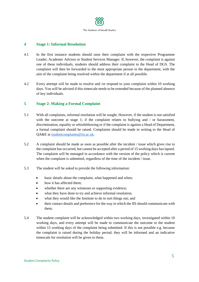

### **4 Stage 1: Informal Resolution**

- 4.1 In the first instance students should raise their complaint with the respective Programme Leader, Academic Advisor or Student Services Manager. If, however, the complaint is against one of these individuals, students should address their complaint to the Head of DGS. The complaint will then be forwarded to the most appropriate person in the department, with the aim of the complaint being resolved within the department if at all possible.
- 4.2 Every attempt will be made to resolve and /or respond to your complaint within 10 working days. You will be advised if this timescale needs to be extended because of the planned absence of key individuals.

### **5 Stage 2: Making a Formal Complaint**

- 5.1 With all complaints, informal resolution will be sought. However, if the student is not satisfied with the outcome at stage 1; if the complaint relates to bullying and  $\ell$  or harassment, discrimination, equality or whistleblowing or if the complaint is against a Head of Department, a formal complaint should be raised. Complaints should be made in writing to the Head of QA&E at [studentcomplaints@iis.ac.uk.](mailto:studentcomplaints@iis.ac.uk)
- 5.2 A complaint should be made as soon as possible after the incident / issue which gives rise to the complaint has occurred, but cannot be accepted after a period of 15 working days has lapsed. The complaint will be managed in accordance with the version of the policy which is current when the complaint is submitted, regardless of the time of the incident / issue.
- 5.3 The student will be asked to provide the following information:
	- basic details about the complaint, what happened and when;
	- how it has affected them;
	- whether there are any witnesses or supporting evidence;
	- what they have done to try and achieve informal resolution;
	- what they would like the Institute to do to sort things out; and
	- their contact details and preference for the way in which the IIS should communicate with them.
- 5.4 The student complaint will be acknowledged within two working days, investigated within 10 working days, and every attempt will be made to communicate the outcome to the student within 15 working days of the complaint being submitted. If this is not possible e.g. because the complaint is raised during the holiday period, they will be informed and an indicative timescale for resolution will be given to them.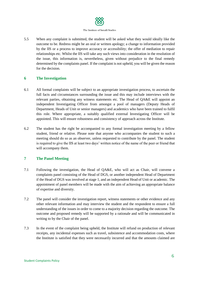

5.5 When any complaint is submitted, the student will be asked what they would ideally like the outcome to be. Redress might be an oral or written apology; a change to information provided by the IIS or a process to improve accuracy or accessibility; the offer of mediation to repair relationships etc. Whilst the IIS will take any such views into consideration in the resolution of the issue, this information is, nevertheless, given without prejudice to the final remedy determined by the complaints panel. If the complaint is not upheld, you will be given the reason for the decision.

#### **6 The Investigation**

- 6.1 All formal complaints will be subject to an appropriate investigation process, to ascertain the full facts and circumstances surrounding the issue and this may include interviews with the relevant parties, obtaining any witness statements etc. The Head of QA&E will appoint an independent Investigating Officer from amongst a pool of managers (Deputy Heads of Department, Heads of Unit or senior managers) and academics who have been trained to fulfil this role. Where appropriate, a suitably qualified external Investigating Officer will be appointed. This will ensure robustness and consistency of approach across the Institute.
- 6.2 The student has the right be accompanied to any formal investigation meeting by a fellow student, friend or relative. Please note that anyone who accompanies the student to such a meeting should do so as an observer, unless requested to contribute by the panel. The student is required to give the IIS at least two days' written notice of the name of the peer or friend that will accompany them.

## **7 The Panel Meeting**

- 7.1 Following the investigation, the Head of QA&E, who will act as Chair, will convene a complaints panel consisting of the Head of DGS, or another independent Head of Department if the Head of DGS was involved at stage 1, and an independent Head of Unit or academic. The appointment of panel members will be made with the aim of achieving an appropriate balance of expertise and diversity.
- 7.2 The panel will consider the investigation report, witness statements or other evidence and any other relevant information and may interview the student and the respondent to ensure a full understanding of the issues in order to come to a majority decision regarding the outcome. The outcome and proposed remedy will be supported by a rationale and will be communicated in writing to by the Chair of the panel.
- 7.3 In the event of the complaint being upheld, the Institute will refund on production of relevant receipts, any incidental expenses such as travel, subsistence and accommodation costs, where the Institute is satisfied that they were necessarily incurred and that the amounts claimed are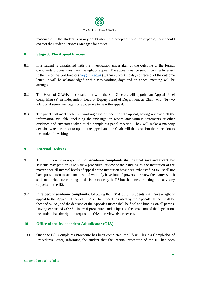

reasonable. If the student is in any doubt about the acceptability of an expense, they should contact the Student Services Manager for advice.

#### **8 Stage 3: The Appeal Process**

- 8.1 If a student is dissatisfied with the investigation undertaken or the outcome of the formal complaints process, they have the right of appeal. The appeal must be sent in writing by email to the PA of the Co-Director [\(darp@iis.ac.uk\)](mailto:darp@iis.ac.uk) within 20 working days of receipt of the outcome letter. It will be acknowledged within two working days and an appeal meeting will be arranged.
- 8.2 The Head of QA&E, in consultation with the Co-Director, will appoint an Appeal Panel comprising (a) an independent Head or Deputy Head of Department as Chair, with (b) two additional senior managers or academics to hear the appeal.
- 8.3 The panel will meet within 20 working days of receipt of the appeal, having reviewed all the information available, including the investigation report, any witness statements or other evidence and any notes taken at the complaints panel meeting. They will make a majority decision whether or not to uphold the appeal and the Chair will then confirm their decision to the student in writing

#### **9 External Redress**

- 9.1 The IIS' decision in respect of **non-academic complaints** shall be final, save and except that students may petition SOAS for a procedural review of the handling by the Institution of the matter once all internal levels of appeal at the Institution have been exhausted. SOAS shall not have jurisdiction in such matters and will only have limited powers to review the matter which shall not include overturning the decision made by the IIS but shall include acting in an advisory capacity to the IIS.
- 9.2 In respect of **academic complaints**, following the IIS' decision, students shall have a right of appeal to the Appeal Officer of SOAS. The procedures used by the Appeals Officer shall be those of SOAS, and the decision of the Appeals Officer shall be final and binding on all parties. Having exhausted SOAS' internal procedures and subject to the provision of the legislation, the student has the right to request the OIA to review his or her case.

#### **10 Office of the Independent Adjudicator (OIA)**

10.1 Once the IIS' Complaints Procedure has been completed, the IIS will issue a Completion of Procedures Letter, informing the student that the internal procedure of the IIS has been